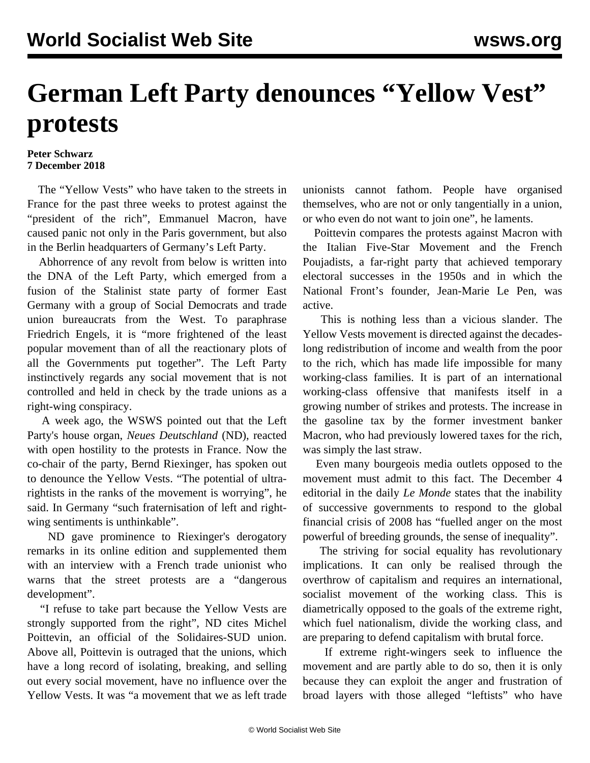## **German Left Party denounces "Yellow Vest" protests**

## **Peter Schwarz 7 December 2018**

 The "Yellow Vests" who have taken to the streets in France for the past three weeks to protest against the "president of the rich", Emmanuel Macron, have caused panic not only in the Paris government, but also in the Berlin headquarters of Germany's Left Party.

 Abhorrence of any revolt from below is written into the DNA of the Left Party, which emerged from a fusion of the Stalinist state party of former East Germany with a group of Social Democrats and trade union bureaucrats from the West. To paraphrase Friedrich Engels, it is "more frightened of the least popular movement than of all the reactionary plots of all the Governments put together". The Left Party instinctively regards any social movement that is not controlled and held in check by the trade unions as a right-wing conspiracy.

 A week ago, the WSWS pointed out that the Left Party's house organ, *Neues Deutschland* (ND), reacted with open hostility to the protests in France. Now the co-chair of the party, Bernd Riexinger, has spoken out to denounce the Yellow Vests. "The potential of ultrarightists in the ranks of the movement is worrying", he said. In Germany "such fraternisation of left and rightwing sentiments is unthinkable".

 ND gave prominence to Riexinger's derogatory remarks in its online edition and supplemented them with an interview with a French trade unionist who warns that the street protests are a "dangerous development".

 "I refuse to take part because the Yellow Vests are strongly supported from the right", ND cites Michel Poittevin, an official of the Solidaires-SUD union. Above all, Poittevin is outraged that the unions, which have a long record of isolating, breaking, and selling out every social movement, have no influence over the Yellow Vests. It was "a movement that we as left trade unionists cannot fathom. People have organised themselves, who are not or only tangentially in a union, or who even do not want to join one", he laments.

 Poittevin compares the protests against Macron with the Italian Five-Star Movement and the French Poujadists, a far-right party that achieved temporary electoral successes in the 1950s and in which the National Front's founder, Jean-Marie Le Pen, was active.

 This is nothing less than a vicious slander. The Yellow Vests movement is directed against the decadeslong redistribution of income and wealth from the poor to the rich, which has made life impossible for many working-class families. It is part of an international working-class offensive that manifests itself in a growing number of strikes and protests. The increase in the gasoline tax by the former investment banker Macron, who had previously lowered taxes for the rich, was simply the last straw.

 Even many bourgeois media outlets opposed to the movement must admit to this fact. The December 4 editorial in the daily *Le Monde* states that the inability of successive governments to respond to the global financial crisis of 2008 has "fuelled anger on the most powerful of breeding grounds, the sense of inequality".

 The striving for social equality has revolutionary implications. It can only be realised through the overthrow of capitalism and requires an international, socialist movement of the working class. This is diametrically opposed to the goals of the extreme right, which fuel nationalism, divide the working class, and are preparing to defend capitalism with brutal force.

 If extreme right-wingers seek to influence the movement and are partly able to do so, then it is only because they can exploit the anger and frustration of broad layers with those alleged "leftists" who have